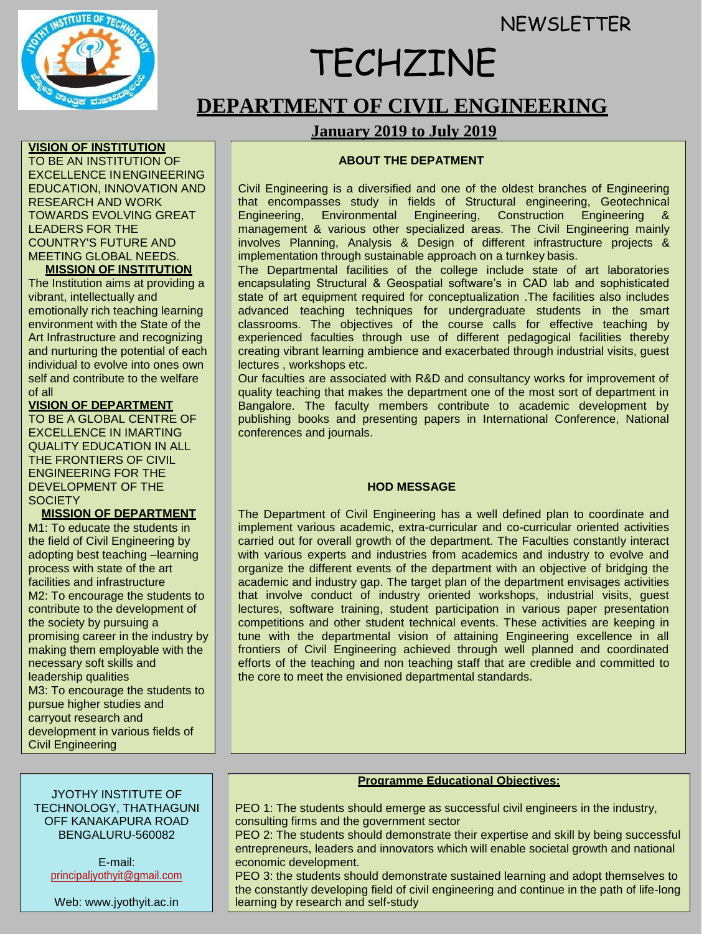**NEWSLETTER** 



**VISION OF INSTITUTION** TO BE AN INSTITUTION OF

# TECHZINE

# **DEPARTMENT OF CIVIL ENGINEERING**

# **January 2019 to July 2019**

# **ABOUT THE DEPATMENT**

Civil Engineering is a diversified and one of the oldest branches of Engineering that encompasses study in fields of Structural engineering, Geotechnical Engineering, Environmental Engineering, Construction Engineering management & various other specialized areas. The Civil Engineering mainly involves Planning, Analysis & Design of different infrastructure projects & implementation through sustainable approach on a turnkey basis.

The Departmental facilities of the college include state of art laboratories encapsulating Structural & Geospatial software's in CAD lab and sophisticated state of art equipment required for conceptualization .The facilities also includes advanced teaching techniques for undergraduate students in the smart classrooms. The objectives of the course calls for effective teaching by experienced faculties through use of different pedagogical facilities thereby creating vibrant learning ambience and exacerbated through industrial visits, guest lectures , workshops etc.

Our faculties are associated with R&D and consultancy works for improvement of quality teaching that makes the department one of the most sort of department in Bangalore. The faculty members contribute to academic development by publishing books and presenting papers in International Conference, National conferences and journals.

# **HOD MESSAGE**

The Department of Civil Engineering has a well defined plan to coordinate and implement various academic, extra-curricular and co-curricular oriented activities carried out for overall growth of the department. The Faculties constantly interact with various experts and industries from academics and industry to evolve and organize the different events of the department with an objective of bridging the academic and industry gap. The target plan of the department envisages activities that involve conduct of industry oriented workshops, industrial visits, guest lectures, software training, student participation in various paper presentation competitions and other student technical events. These activities are keeping in tune with the departmental vision of attaining Engineering excellence in all frontiers of Civil Engineering achieved through well planned and coordinated efforts of the teaching and non teaching staff that are credible and committed to the core to meet the envisioned departmental standards.

#### EXCELLENCE INENGINEERING EDUCATION, INNOVATION AND RESEARCH AND WORK TOWARDS EVOLVING GREAT LEADERS FOR THE COUNTRY'S FUTURE AND MEETING GLOBAL NEEDS.

#### **MISSION OF INSTITUTION**

The Institution aims at providing a vibrant, intellectually and emotionally rich teaching learning environment with the State of the Art Infrastructure and recognizing and nurturing the potential of each individual to evolve into ones own self and contribute to the welfare of all

# **VISION OF DEPARTMENT**

TO BE A GLOBAL CENTRE OF EXCELLENCE IN IMARTING QUALITY EDUCATION IN ALL THE FRONTIERS OF CIVIL ENGINEERING FOR THE DEVELOPMENT OF THE **SOCIETY** 

**MISSION OF DEPARTMENT**

M1: To educate the students in the field of Civil Engineering by adopting best teaching –learning process with state of the art facilities and infrastructure M2: To encourage the students to contribute to the development of the society by pursuing a promising career in the industry by making them employable with the necessary soft skills and leadership qualities M3: To encourage the students to pursue higher studies and carryout research and development in various fields of Civil Engineering

#### JYOTHY INSTITUTE OF TECHNOLOGY, THATHAGUNI OFF KANAKAPURA ROAD BENGALURU-560082

E-mail: [principaljyothyit@gmail.com](mailto:principaljyothyit@gmail.com)

Web: [www.jyothyit.ac.in](http://www.jyothyit.ac.in/)

#### **Programme Educational Objectives:**

PEO 1: The students should emerge as successful civil engineers in the industry, consulting firms and the government sector

PEO 2: The students should demonstrate their expertise and skill by being successful entrepreneurs, leaders and innovators which will enable societal growth and national economic development.

PEO 3: the students should demonstrate sustained learning and adopt themselves to the constantly developing field of civil engineering and continue in the path of life-long learning by research and self-study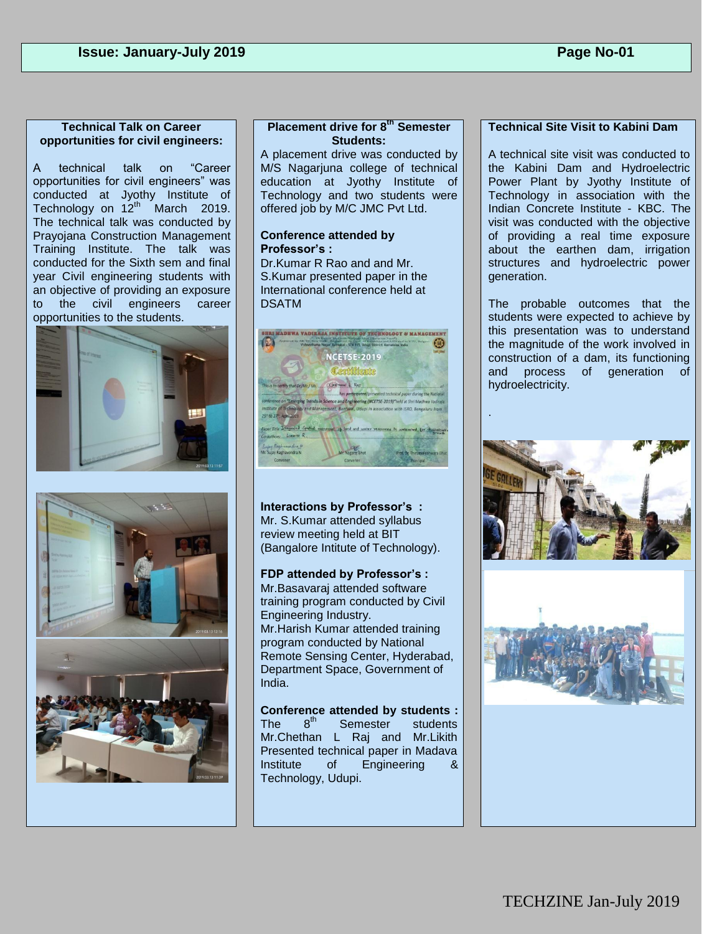#### **Technical Talk on Career opportunities for civil engineers:**

A technical talk on "Career opportunities for civil engineers" was conducted at Jyothy Institute of Technology on  $12^{th}$  March 2019. The technical talk was conducted by Prayojana Construction Management Training Institute. The talk was conducted for the Sixth sem and final year Civil engineering students with an objective of providing an exposure to the civil engineers career opportunities to the students.





# **Placement drive for 8th Semester Students:**

A placement drive was conducted by M/S Nagarjuna college of technical education at Jyothy Institute of Technology and two students were offered job by M/C JMC Pvt Ltd.

#### **Conference attended by Professor's :**

Dr.Kumar R Rao and and Mr. S.Kumar presented paper in the International conference held at DSATM



**Interactions by Professor's :**  Mr. S.Kumar attended syllabus review meeting held at BIT (Bangalore Intitute of Technology).

**FDP attended by Professor's :**  Mr.Basavaraj attended software training program conducted by Civil Engineering Industry. Mr.Harish Kumar attended training program conducted by National Remote Sensing Center, Hyderabad, Department Space, Government of India.

**Conference attended by students :**  The  $8^{th}$  Semester students Mr.Chethan L Raj and Mr.Likith Presented technical paper in Madava Institute of Engineering & Technology, Udupi.

# **Technical Site Visit to Kabini Dam**

A technical site visit was conducted to the Kabini Dam and Hydroelectric Power Plant by Jyothy Institute of Technology in association with the Indian Concrete Institute - KBC. The visit was conducted with the objective of providing a real time exposure about the earthen dam, irrigation structures and hydroelectric power generation.

The probable outcomes that the students were expected to achieve by this presentation was to understand the magnitude of the work involved in construction of a dam, its functioning and process of generation of hydroelectricity.

.